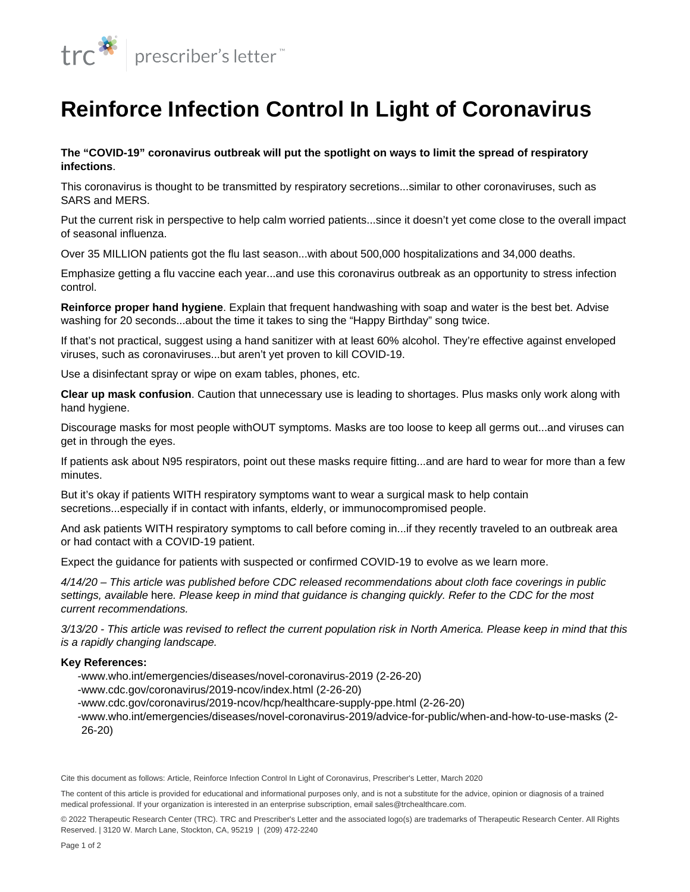

## **Reinforce Infection Control In Light of Coronavirus**

**The "COVID-19" coronavirus outbreak will put the spotlight on ways to limit the spread of respiratory infections**.

This coronavirus is thought to be transmitted by respiratory secretions...similar to other coronaviruses, such as SARS and [MERS](/en/Content/Articles/PRL/2014/Jul/Relieve-Fears-Over-Middle-East-Respiratory-Syndrome).

Put the current risk in perspective to help calm worried patients...since it doesn't yet come close to the overall impact of seasonal influenza.

Over 35 MILLION patients got the flu last season...with about 500,000 hospitalizations and 34,000 deaths.

Emphasize getting a [flu vaccine](/en/Content/Articles/PRL/2019/Oct/Share-the-Latest-Advice-About-2019-2020-Influenza-Immunizations) each year...and use this coronavirus outbreak as an opportunity to stress infection control.

**[Reinforce proper hand hygiene](https://www.cdc.gov/handwashing/pdf/wash-your-hands-fact-sheet-508.pdf)**. Explain that frequent handwashing with soap and water is the best bet. Advise washing for 20 seconds...about the time it takes to sing the "Happy Birthday" song twice.

If that's not practical, suggest using a hand sanitizer with at least 60% alcohol. They're effective against enveloped viruses, such as coronaviruses...but aren't yet proven to kill COVID-19.

Use a disinfectant spray or wipe on exam tables, phones, etc.

**Clear up mask confusion**. Caution that unnecessary use is leading to shortages. Plus masks only work along with hand hygiene.

Discourage masks for most people withOUT symptoms. Masks are too loose to keep all germs out...and viruses can get in through the eyes.

If patients ask about N95 respirators, point out these masks require fitting...and are hard to wear for more than a few minutes.

But it's okay if patients WITH respiratory symptoms want to wear a surgical mask to help contain secretions...especially if in contact with infants, elderly, or immunocompromised people.

And ask patients WITH respiratory symptoms to call before coming in...if they recently traveled to an outbreak area or had contact with a COVID-19 patient.

Expect the guidance for patients with suspected or confirmed COVID-19 to evolve as we learn more.

4/14/20 – This article was published before CDC released recommendations about cloth face coverings in public settings, available [here](https://www.cdc.gov/coronavirus/2019-ncov/prevent-getting-sick/cloth-face-cover.html). Please keep in mind that guidance is changing quickly. Refer to the CDC for the most current recommendations.

3/13/20 - This article was revised to reflect the current population risk in North America. Please keep in mind that this is a rapidly changing landscape.

## **Key References:**

-www.who.int/emergencies/diseases/novel-coronavirus-2019 (2-26-20)

-www.cdc.gov/coronavirus/2019-ncov/index.html (2-26-20)

-www.cdc.gov/coronavirus/2019-ncov/hcp/healthcare-supply-ppe.html (2-26-20)

-www.who.int/emergencies/diseases/novel-coronavirus-2019/advice-for-public/when-and-how-to-use-masks (2-26-20)

Cite this document as follows: Article, Reinforce Infection Control In Light of Coronavirus, Prescriber's Letter, March 2020

The content of this article is provided for educational and informational purposes only, and is not a substitute for the advice, opinion or diagnosis of a trained medical professional. If your organization is interested in an enterprise subscription, email sales@trchealthcare.com.

© 2022 Therapeutic Research Center (TRC). TRC and Prescriber's Letter and the associated logo(s) are trademarks of Therapeutic Research Center. All Rights Reserved. | 3120 W. March Lane, Stockton, CA, 95219 | (209) 472-2240